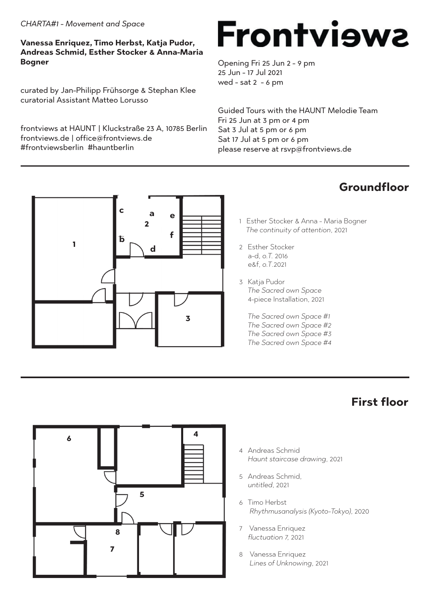#### *CHARTA#1 - Movement and Space*

#### **Vanessa Enriquez, Timo Herbst, Katja Pudor, Andreas Schmid, Esther Stocker & Anna-Maria Bogner**

curated by Jan-Philipp Frühsorge & Stephan Klee curatorial Assistant Matteo Lorusso

frontviews at HAUNT | Kluckstraße 23 A, 10785 Berlin frontviews.de | office@frontviews.de #frontviewsberlin #hauntberlin

# **Frontviewa**

Opening Fri 25 Jun 2 - 9 pm 25 Jun - 17 Jul 2021 wed - sat 2 - 6 pm

Guided Tours with the HAUNT Melodie Team Fri 25 Jun at 3 pm or 4 pm Sat 3 Jul at 5 pm or 6 pm Sat 17 Jul at 5 pm or 6 pm please reserve at rsvp@frontviews.de

### **Groundfloor**

- 1 Esther Stocker & Anna Maria Bogner  *The continuity of attention*, 2021
- 2 Esther Stocker a-d, *o.T.* 2016 e&f, *o.T*.2021
- 3 Katja Pudor  *The Sacred own Space* 4-piece Installation, 2021

 *The Sacred own Space #1 The Sacred own Space #2 The Sacred own Space #3 The Sacred own Space #4*

### **First floor**

- **6 5 8 7 4**
- 4 Andreas Schmid *Haunt staircase drawing*, 2021
- 5 Andreas Schmid, *untitled*, 2021
- 6 Timo Herbst *Rhythmusanalysis (Kyoto-Tokyo)*, 2020
- 7 Vanessa Enriquez *fluctuation 7,* 2021
- 8 Vanessa Enriquez  *Lines of Unknowing*, 2021

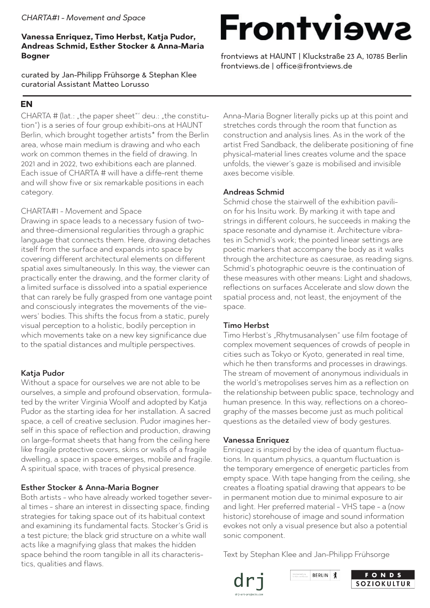#### *CHARTA#1 - Movement and Space*

#### **Vanessa Enriquez, Timo Herbst, Katja Pudor, Andreas Schmid, Esther Stocker & Anna-Maria Bogner**

curated by Jan-Philipp Frühsorge & Stephan Klee curatorial Assistant Matteo Lorusso

#### **EN**

CHARTA # (lat.: "the paper sheet"' deu.: "the constitution") is a series of four group exhibiti-ons at HAUNT Berlin, which brought together artists<sup>\*</sup> from the Berlin area, whose main medium is drawing and who each work on common themes in the field of drawing. In 2021 and in 2022, two exhibitions each are planned. Each issue of CHARTA # will have a diffe-rent theme and will show five or six remarkable positions in each category.

#### CHARTA#1 - Movement and Space

Drawing in space leads to a necessary fusion of twoand three-dimensional regularities through a graphic language that connects them. Here, drawing detaches itself from the surface and expands into space by covering different architectural elements on different spatial axes simultaneously. In this way, the viewer can practically enter the drawing, and the former clarity of a limited surface is dissolved into a spatial experience that can rarely be fully grasped from one vantage point and consciously integrates the movements of the viewers' bodies. This shifts the focus from a static, purely visual perception to a holistic, bodily perception in which movements take on a new key significance due to the spatial distances and multiple perspectives.

#### Katja Pudor

Without a space for ourselves we are not able to be ourselves, a simple and profound observation, formulated by the writer Virginia Woolf and adopted by Katja Pudor as the starting idea for her installation. A sacred space, a cell of creative seclusion. Pudor imagines herself in this space of reflection and production, drawing on large-format sheets that hang from the ceiling here like fragile protective covers, skins or walls of a fragile dwelling, a space in space emerges, mobile and fragile. A spiritual space, with traces of physical presence.

#### Esther Stocker & Anna-Maria Bogner

Both artists - who have already worked together several times - share an interest in dissecting space, finding strategies for taking space out of its habitual context and examining its fundamental facts. Stocker's Grid is a test picture; the black grid structure on a white wall acts like a magnifying glass that makes the hidden space behind the room tangible in all its characteristics, qualities and flaws.

### **Frontviews**

frontviews at HAUNT | Kluckstraße 23 A, 10785 Berlin frontviews.de | office@frontviews.de

Anna-Maria Bogner literally picks up at this point and stretches cords through the room that function as construction and analysis lines. As in the work of the artist Fred Sandback, the deliberate positioning of fine physical-material lines creates volume and the space unfolds, the viewer's gaze is mobilised and invisible axes become visible.

#### Andreas Schmid

Schmid chose the stairwell of the exhibition pavilion for his Insitu work. By marking it with tape and strings in different colours, he succeeds in making the space resonate and dynamise it. Architecture vibrates in Schmid's work; the pointed linear settings are poetic markers that accompany the body as it walks through the architecture as caesurae, as reading signs. Schmid's photographic oeuvre is the continuation of these measures with other means: Light and shadows, reflections on surfaces Accelerate and slow down the spatial process and, not least, the enjoyment of the space.

#### Timo Herbst

Timo Herbst's "Rhytmusanalysen" use film footage of complex movement sequences of crowds of people in cities such as Tokyo or Kyoto, generated in real time, which he then transforms and processes in drawings. The stream of movement of anonymous individuals in the world's metropolises serves him as a reflection on the relationship between public space, technology and human presence. In this way, reflections on a choreography of the masses become just as much political questions as the detailed view of body gestures.

#### Vanessa Enriquez

Enriquez is inspired by the idea of quantum fluctuations. In quantum physics, a quantum fluctuation is the temporary emergence of energetic particles from empty space. With tape hanging from the ceiling, she creates a floating spatial drawing that appears to be in permanent motion due to minimal exposure to air and light. Her preferred material - VHS tape - a (now historic) storehouse of image and sound information evokes not only a visual presence but also a potential sonic component.

Text by Stephan Klee and Jan-Philipp Frühsorge



BERLIN X